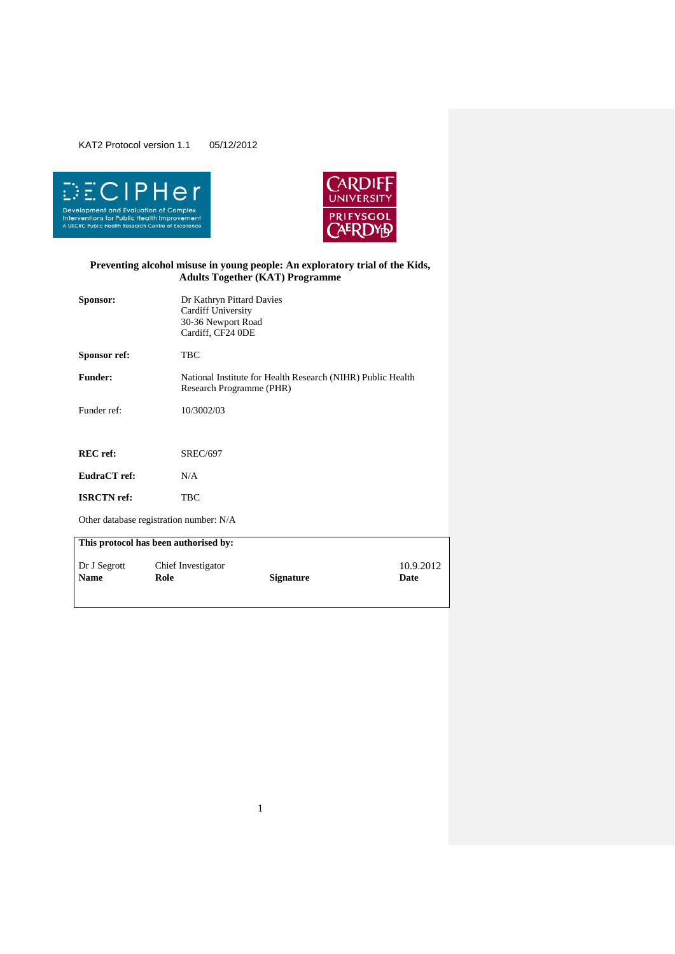



# **Preventing alcohol misuse in young people: An exploratory trial of the Kids, Adults Together (KAT) Programme**

| Sponsor:                    | Dr Kathryn Pittard Davies<br>Cardiff University<br>30-36 Newport Road<br>Cardiff, CF24 0DE |                                                                                         |                   |  |
|-----------------------------|--------------------------------------------------------------------------------------------|-----------------------------------------------------------------------------------------|-------------------|--|
| Sponsor ref:                | TBC                                                                                        |                                                                                         |                   |  |
| <b>Funder:</b>              |                                                                                            | National Institute for Health Research (NIHR) Public Health<br>Research Programme (PHR) |                   |  |
| Funder ref:                 | 10/3002/03                                                                                 |                                                                                         |                   |  |
|                             |                                                                                            |                                                                                         |                   |  |
| <b>REC</b> ref:             | <b>SREC/697</b>                                                                            |                                                                                         |                   |  |
| EudraCT ref:                | N/A                                                                                        |                                                                                         |                   |  |
| <b>ISRCTN</b> ref:          | TBC                                                                                        |                                                                                         |                   |  |
|                             | Other database registration number: N/A                                                    |                                                                                         |                   |  |
|                             | This protocol has been authorised by:                                                      |                                                                                         |                   |  |
| Dr J Segrott<br><b>Name</b> | Chief Investigator<br>Role                                                                 | <b>Signature</b>                                                                        | 10.9.2012<br>Date |  |

1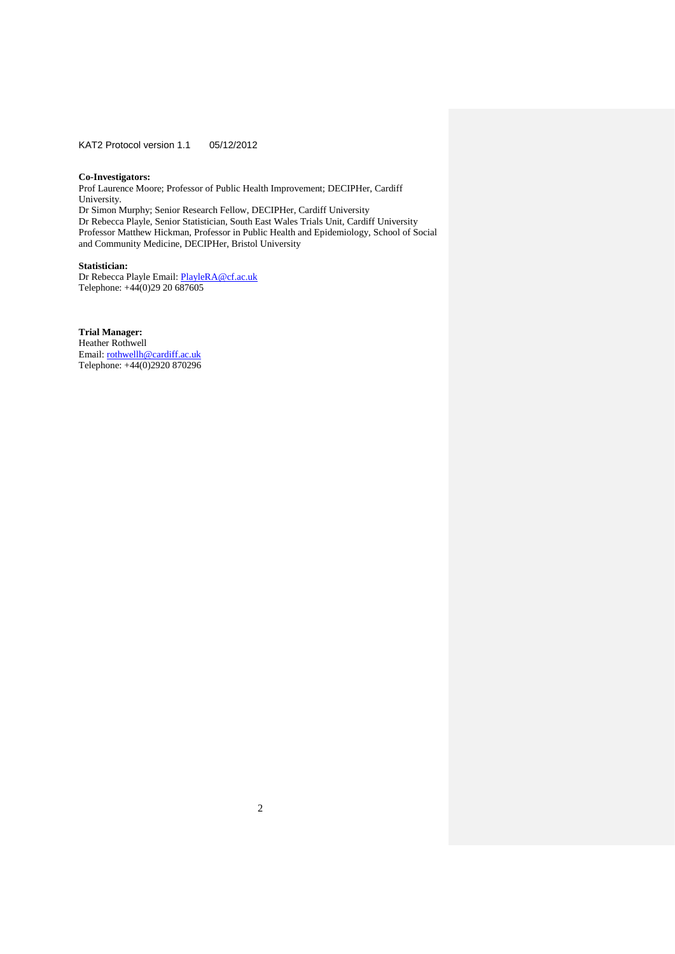#### **Co-Investigators:**

Prof Laurence Moore; Professor of Public Health Improvement; DECIPHer, Cardiff University. Dr Simon Murphy; Senior Research Fellow, DECIPHer, Cardiff University Dr Rebecca Playle, Senior Statistician, South East Wales Trials Unit, Cardiff University Professor Matthew Hickman, Professor in Public Health and Epidemiology, School of Social and Community Medicine, DECIPHer, Bristol University

# **Statistician:**

Dr Rebecca Playle Email: PlayleRA@cf.ac.uk Telephone: +44(0)29 20 687605

# **Trial Manager:**

Heather Rothwell Email[: rothwellh@cardiff.ac.uk](mailto:rothwellh@cardiff.ac.uk) Telephone: +44(0)2920 870296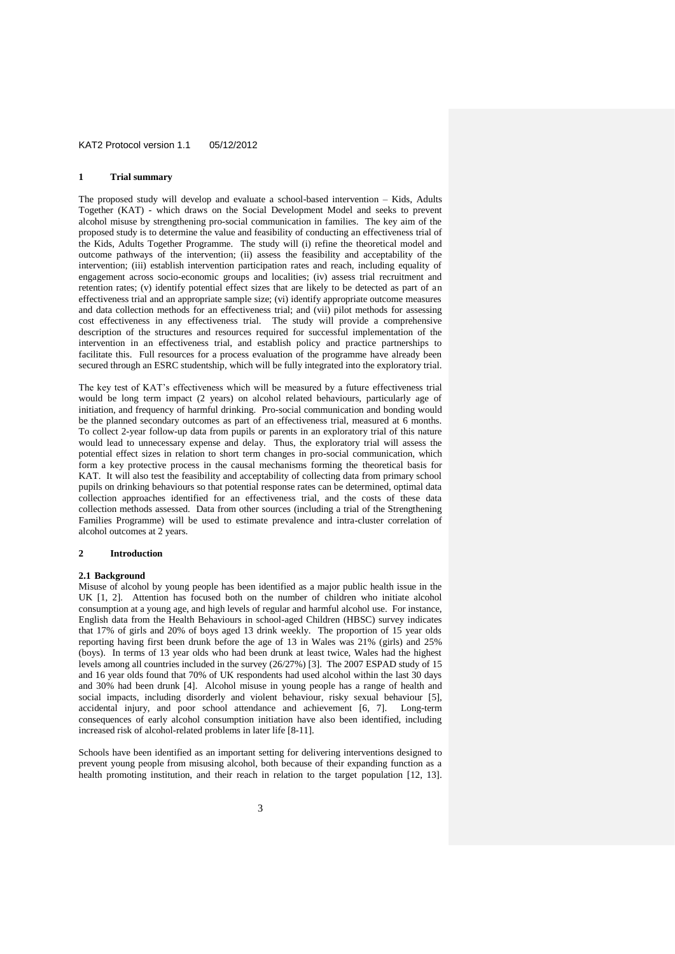#### **1 Trial summary**

The proposed study will develop and evaluate a school-based intervention – Kids, Adults Together (KAT) - which draws on the Social Development Model and seeks to prevent alcohol misuse by strengthening pro-social communication in families. The key aim of the proposed study is to determine the value and feasibility of conducting an effectiveness trial of the Kids, Adults Together Programme. The study will (i) refine the theoretical model and outcome pathways of the intervention; (ii) assess the feasibility and acceptability of the intervention; (iii) establish intervention participation rates and reach, including equality of engagement across socio-economic groups and localities; (iv) assess trial recruitment and retention rates; (v) identify potential effect sizes that are likely to be detected as part of an effectiveness trial and an appropriate sample size; (vi) identify appropriate outcome measures and data collection methods for an effectiveness trial; and (vii) pilot methods for assessing cost effectiveness in any effectiveness trial. The study will provide a comprehensive description of the structures and resources required for successful implementation of the intervention in an effectiveness trial, and establish policy and practice partnerships to facilitate this. Full resources for a process evaluation of the programme have already been secured through an ESRC studentship, which will be fully integrated into the exploratory trial.

The key test of KAT's effectiveness which will be measured by a future effectiveness trial would be long term impact (2 years) on alcohol related behaviours, particularly age of initiation, and frequency of harmful drinking. Pro-social communication and bonding would be the planned secondary outcomes as part of an effectiveness trial, measured at 6 months. To collect 2-year follow-up data from pupils or parents in an exploratory trial of this nature would lead to unnecessary expense and delay. Thus, the exploratory trial will assess the potential effect sizes in relation to short term changes in pro-social communication, which form a key protective process in the causal mechanisms forming the theoretical basis for KAT. It will also test the feasibility and acceptability of collecting data from primary school pupils on drinking behaviours so that potential response rates can be determined, optimal data collection approaches identified for an effectiveness trial, and the costs of these data collection methods assessed. Data from other sources (including a trial of the Strengthening Families Programme) will be used to estimate prevalence and intra-cluster correlation of alcohol outcomes at 2 years.

## **2 Introduction**

## **2.1 Background**

Misuse of alcohol by young people has been identified as a major public health issue in the UK [1, 2]. Attention has focused both on the number of children who initiate alcohol consumption at a young age, and high levels of regular and harmful alcohol use. For instance, English data from the Health Behaviours in school-aged Children (HBSC) survey indicates that 17% of girls and 20% of boys aged 13 drink weekly. The proportion of 15 year olds reporting having first been drunk before the age of 13 in Wales was 21% (girls) and 25% (boys). In terms of 13 year olds who had been drunk at least twice, Wales had the highest levels among all countries included in the survey (26/27%) [3]. The 2007 ESPAD study of 15 and 16 year olds found that 70% of UK respondents had used alcohol within the last 30 days and 30% had been drunk [4]. Alcohol misuse in young people has a range of health and social impacts, including disorderly and violent behaviour, risky sexual behaviour [5], accidental injury, and poor school attendance and achievement [6, 7]. Long-term consequences of early alcohol consumption initiation have also been identified, including increased risk of alcohol-related problems in later life [8-11].

Schools have been identified as an important setting for delivering interventions designed to prevent young people from misusing alcohol, both because of their expanding function as a health promoting institution, and their reach in relation to the target population [12, 13].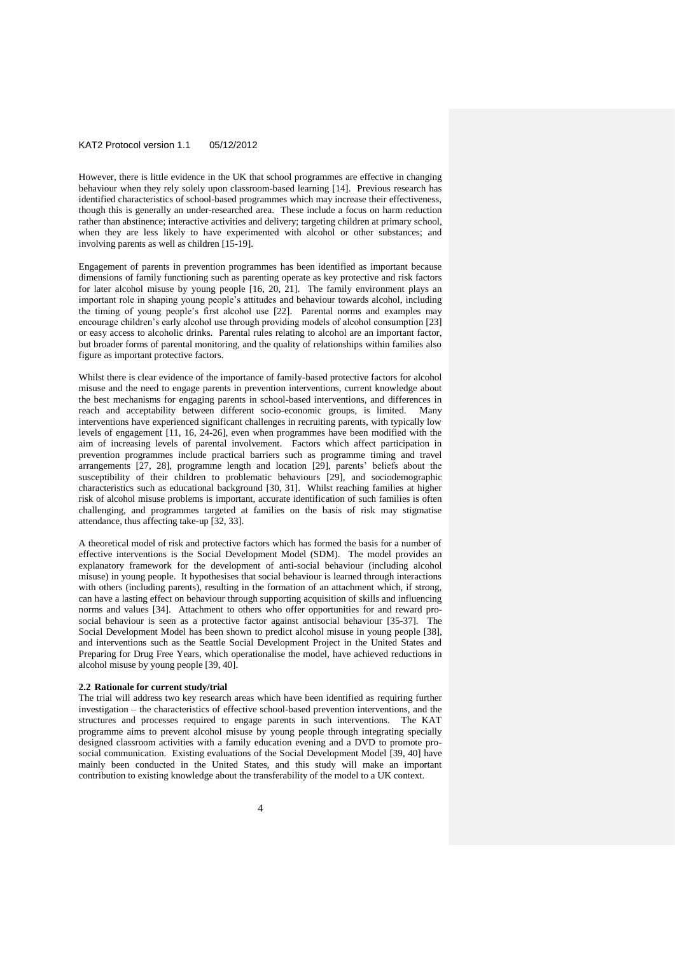However, there is little evidence in the UK that school programmes are effective in changing behaviour when they rely solely upon classroom-based learning [14]. Previous research has identified characteristics of school-based programmes which may increase their effectiveness, though this is generally an under-researched area. These include a focus on harm reduction rather than abstinence; interactive activities and delivery; targeting children at primary school, when they are less likely to have experimented with alcohol or other substances; and involving parents as well as children [15-19].

Engagement of parents in prevention programmes has been identified as important because dimensions of family functioning such as parenting operate as key protective and risk factors for later alcohol misuse by young people [16, 20, 21]. The family environment plays an important role in shaping young people's attitudes and behaviour towards alcohol, including the timing of young people's first alcohol use [22]. Parental norms and examples may encourage children's early alcohol use through providing models of alcohol consumption [23] or easy access to alcoholic drinks. Parental rules relating to alcohol are an important factor, but broader forms of parental monitoring, and the quality of relationships within families also figure as important protective factors.

Whilst there is clear evidence of the importance of family-based protective factors for alcohol misuse and the need to engage parents in prevention interventions, current knowledge about the best mechanisms for engaging parents in school-based interventions, and differences in reach and acceptability between different socio-economic groups, is limited. Many interventions have experienced significant challenges in recruiting parents, with typically low levels of engagement [11, 16, 24-26], even when programmes have been modified with the aim of increasing levels of parental involvement. Factors which affect participation in prevention programmes include practical barriers such as programme timing and travel arrangements [27, 28], programme length and location [29], parents' beliefs about the susceptibility of their children to problematic behaviours [29], and sociodemographic characteristics such as educational background [30, 31]. Whilst reaching families at higher risk of alcohol misuse problems is important, accurate identification of such families is often challenging, and programmes targeted at families on the basis of risk may stigmatise attendance, thus affecting take-up [32, 33].

A theoretical model of risk and protective factors which has formed the basis for a number of effective interventions is the Social Development Model (SDM). The model provides an explanatory framework for the development of anti-social behaviour (including alcohol misuse) in young people. It hypothesises that social behaviour is learned through interactions with others (including parents), resulting in the formation of an attachment which, if strong, can have a lasting effect on behaviour through supporting acquisition of skills and influencing norms and values [34]. Attachment to others who offer opportunities for and reward prosocial behaviour is seen as a protective factor against antisocial behaviour [35-37]. The Social Development Model has been shown to predict alcohol misuse in young people [38], and interventions such as the Seattle Social Development Project in the United States and Preparing for Drug Free Years, which operationalise the model, have achieved reductions in alcohol misuse by young people [39, 40].

#### **2.2 Rationale for current study/trial**

The trial will address two key research areas which have been identified as requiring further investigation – the characteristics of effective school-based prevention interventions, and the structures and processes required to engage parents in such interventions. The KAT programme aims to prevent alcohol misuse by young people through integrating specially designed classroom activities with a family education evening and a DVD to promote prosocial communication. Existing evaluations of the Social Development Model [39, 40] have mainly been conducted in the United States, and this study will make an important contribution to existing knowledge about the transferability of the model to a UK context.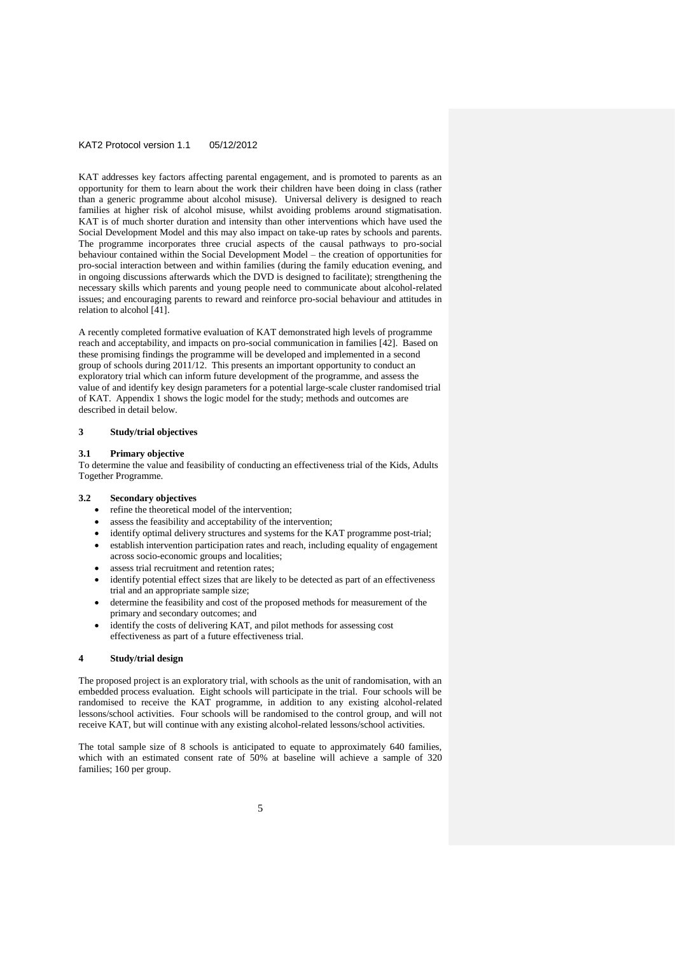KAT addresses key factors affecting parental engagement, and is promoted to parents as an opportunity for them to learn about the work their children have been doing in class (rather than a generic programme about alcohol misuse). Universal delivery is designed to reach families at higher risk of alcohol misuse, whilst avoiding problems around stigmatisation. KAT is of much shorter duration and intensity than other interventions which have used the Social Development Model and this may also impact on take-up rates by schools and parents. The programme incorporates three crucial aspects of the causal pathways to pro-social behaviour contained within the Social Development Model – the creation of opportunities for pro-social interaction between and within families (during the family education evening, and in ongoing discussions afterwards which the DVD is designed to facilitate); strengthening the necessary skills which parents and young people need to communicate about alcohol-related issues; and encouraging parents to reward and reinforce pro-social behaviour and attitudes in relation to alcohol [41].

A recently completed formative evaluation of KAT demonstrated high levels of programme reach and acceptability, and impacts on pro-social communication in families [42]. Based on these promising findings the programme will be developed and implemented in a second group of schools during 2011/12. This presents an important opportunity to conduct an exploratory trial which can inform future development of the programme, and assess the value of and identify key design parameters for a potential large-scale cluster randomised trial of KAT. Appendix 1 shows the logic model for the study; methods and outcomes are described in detail below.

#### **3 Study/trial objectives**

#### **3.1 Primary objective**

To determine the value and feasibility of conducting an effectiveness trial of the Kids, Adults Together Programme.

#### **3.2 Secondary objectives**

- refine the theoretical model of the intervention;
- assess the feasibility and acceptability of the intervention;
- identify optimal delivery structures and systems for the KAT programme post-trial; establish intervention participation rates and reach, including equality of engagement
- across socio-economic groups and localities;
- assess trial recruitment and retention rates;
- identify potential effect sizes that are likely to be detected as part of an effectiveness trial and an appropriate sample size;
- determine the feasibility and cost of the proposed methods for measurement of the primary and secondary outcomes; and
- identify the costs of delivering KAT, and pilot methods for assessing cost effectiveness as part of a future effectiveness trial.

## **4 Study/trial design**

The proposed project is an exploratory trial, with schools as the unit of randomisation, with an embedded process evaluation. Eight schools will participate in the trial. Four schools will be randomised to receive the KAT programme, in addition to any existing alcohol-related lessons/school activities. Four schools will be randomised to the control group, and will not receive KAT, but will continue with any existing alcohol-related lessons/school activities.

The total sample size of 8 schools is anticipated to equate to approximately 640 families, which with an estimated consent rate of 50% at baseline will achieve a sample of 320 families; 160 per group.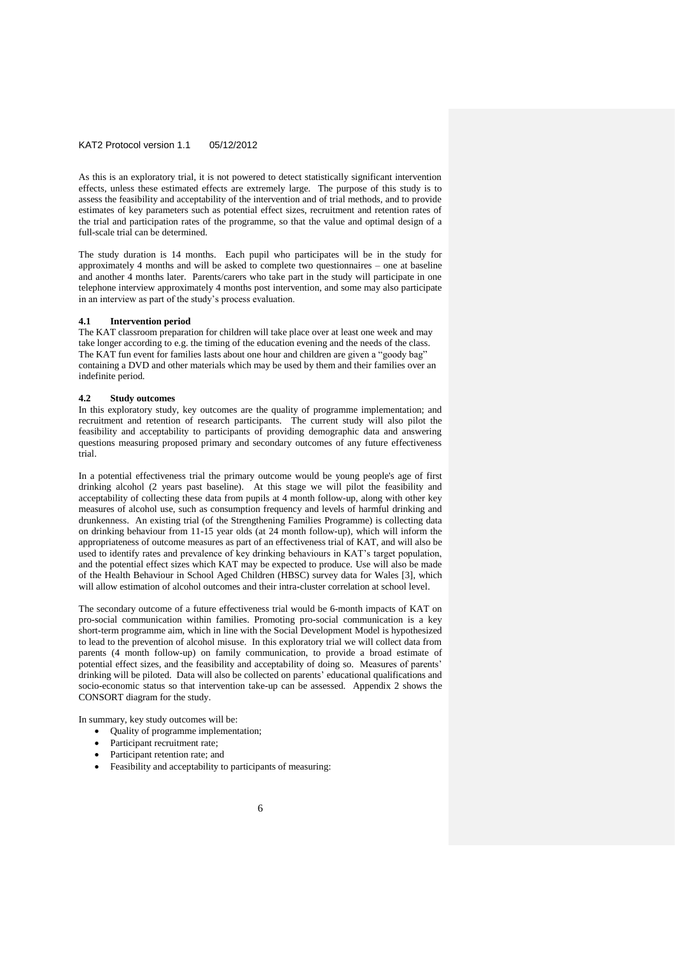As this is an exploratory trial, it is not powered to detect statistically significant intervention effects, unless these estimated effects are extremely large. The purpose of this study is to assess the feasibility and acceptability of the intervention and of trial methods, and to provide estimates of key parameters such as potential effect sizes, recruitment and retention rates of the trial and participation rates of the programme, so that the value and optimal design of a full-scale trial can be determined.

The study duration is 14 months. Each pupil who participates will be in the study for approximately 4 months and will be asked to complete two questionnaires – one at baseline and another 4 months later. Parents/carers who take part in the study will participate in one telephone interview approximately 4 months post intervention, and some may also participate in an interview as part of the study's process evaluation.

#### **4.1 Intervention period**

The KAT classroom preparation for children will take place over at least one week and may take longer according to e.g. the timing of the education evening and the needs of the class. The KAT fun event for families lasts about one hour and children are given a "goody bag" containing a DVD and other materials which may be used by them and their families over an indefinite period.

#### **4.2 Study outcomes**

In this exploratory study, key outcomes are the quality of programme implementation; and recruitment and retention of research participants. The current study will also pilot the feasibility and acceptability to participants of providing demographic data and answering questions measuring proposed primary and secondary outcomes of any future effectiveness trial.

In a potential effectiveness trial the primary outcome would be young people's age of first drinking alcohol (2 years past baseline). At this stage we will pilot the feasibility and acceptability of collecting these data from pupils at 4 month follow-up, along with other key measures of alcohol use, such as consumption frequency and levels of harmful drinking and drunkenness. An existing trial (of the Strengthening Families Programme) is collecting data on drinking behaviour from 11-15 year olds (at 24 month follow-up), which will inform the appropriateness of outcome measures as part of an effectiveness trial of KAT, and will also be used to identify rates and prevalence of key drinking behaviours in KAT's target population, and the potential effect sizes which KAT may be expected to produce. Use will also be made of the Health Behaviour in School Aged Children (HBSC) survey data for Wales [3], which will allow estimation of alcohol outcomes and their intra-cluster correlation at school level.

The secondary outcome of a future effectiveness trial would be 6-month impacts of KAT on pro-social communication within families. Promoting pro-social communication is a key short-term programme aim, which in line with the Social Development Model is hypothesized to lead to the prevention of alcohol misuse. In this exploratory trial we will collect data from parents (4 month follow-up) on family communication, to provide a broad estimate of potential effect sizes, and the feasibility and acceptability of doing so. Measures of parents' drinking will be piloted. Data will also be collected on parents' educational qualifications and socio-economic status so that intervention take-up can be assessed. Appendix 2 shows the CONSORT diagram for the study.

In summary, key study outcomes will be:

- Quality of programme implementation;
- Participant recruitment rate;
- Participant retention rate; and
- Feasibility and acceptability to participants of measuring: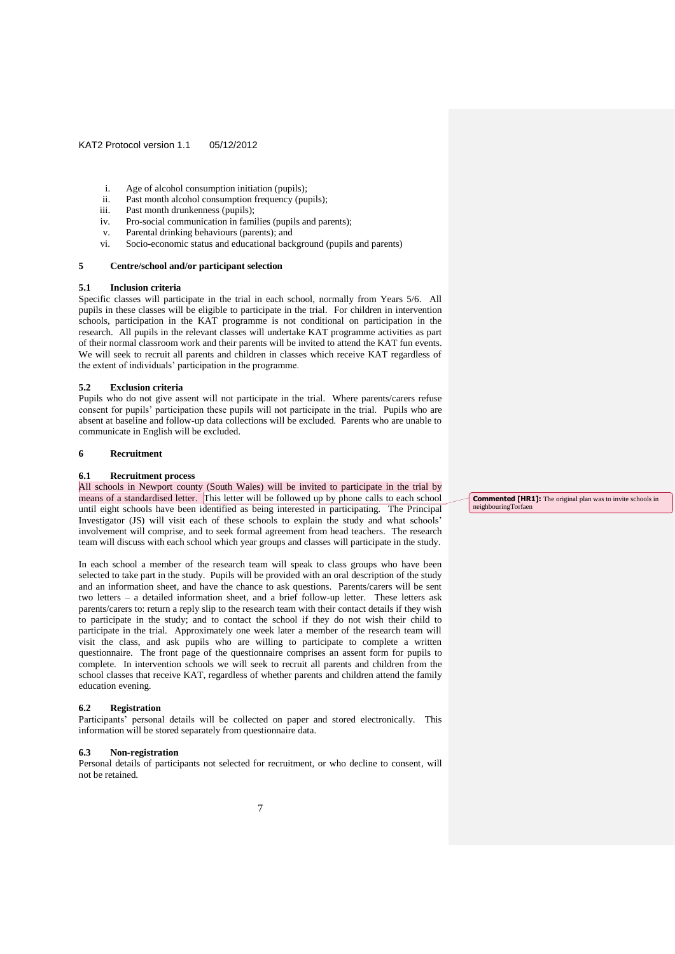- i. Age of alcohol consumption initiation (pupils);
- ii. Past month alcohol consumption frequency (pupils);
- iii. Past month drunkenness (pupils);
- iv. Pro-social communication in families (pupils and parents);
- v. Parental drinking behaviours (parents); and
- vi. Socio-economic status and educational background (pupils and parents)

## **5 Centre/school and/or participant selection**

#### **5.1 Inclusion criteria**

Specific classes will participate in the trial in each school, normally from Years 5/6. All pupils in these classes will be eligible to participate in the trial. For children in intervention schools, participation in the KAT programme is not conditional on participation in the research. All pupils in the relevant classes will undertake KAT programme activities as part of their normal classroom work and their parents will be invited to attend the KAT fun events. We will seek to recruit all parents and children in classes which receive KAT regardless of the extent of individuals' participation in the programme.

#### **5.2 Exclusion criteria**

Pupils who do not give assent will not participate in the trial. Where parents/carers refuse consent for pupils' participation these pupils will not participate in the trial. Pupils who are absent at baseline and follow-up data collections will be excluded. Parents who are unable to communicate in English will be excluded.

## **6 Recruitment**

#### **6.1 Recruitment process**

All schools in Newport county (South Wales) will be invited to participate in the trial by means of a standardised letter. This letter will be followed up by phone calls to each school until eight schools have been identified as being interested in participating. The Principal Investigator (JS) will visit each of these schools to explain the study and what schools' involvement will comprise, and to seek formal agreement from head teachers. The research team will discuss with each school which year groups and classes will participate in the study.

In each school a member of the research team will speak to class groups who have been selected to take part in the study. Pupils will be provided with an oral description of the study and an information sheet, and have the chance to ask questions. Parents/carers will be sent two letters – a detailed information sheet, and a brief follow-up letter. These letters ask parents/carers to: return a reply slip to the research team with their contact details if they wish to participate in the study; and to contact the school if they do not wish their child to participate in the trial. Approximately one week later a member of the research team will visit the class, and ask pupils who are willing to participate to complete a written questionnaire. The front page of the questionnaire comprises an assent form for pupils to complete. In intervention schools we will seek to recruit all parents and children from the school classes that receive KAT, regardless of whether parents and children attend the family education evening.

#### **6.2 Registration**

Participants' personal details will be collected on paper and stored electronically. This information will be stored separately from questionnaire data.

#### **6.3 Non-registration**

Personal details of participants not selected for recruitment, or who decline to consent, will not be retained.

**Commented [HR1]:** The original plan was to invite schools in neighbouringTorfaen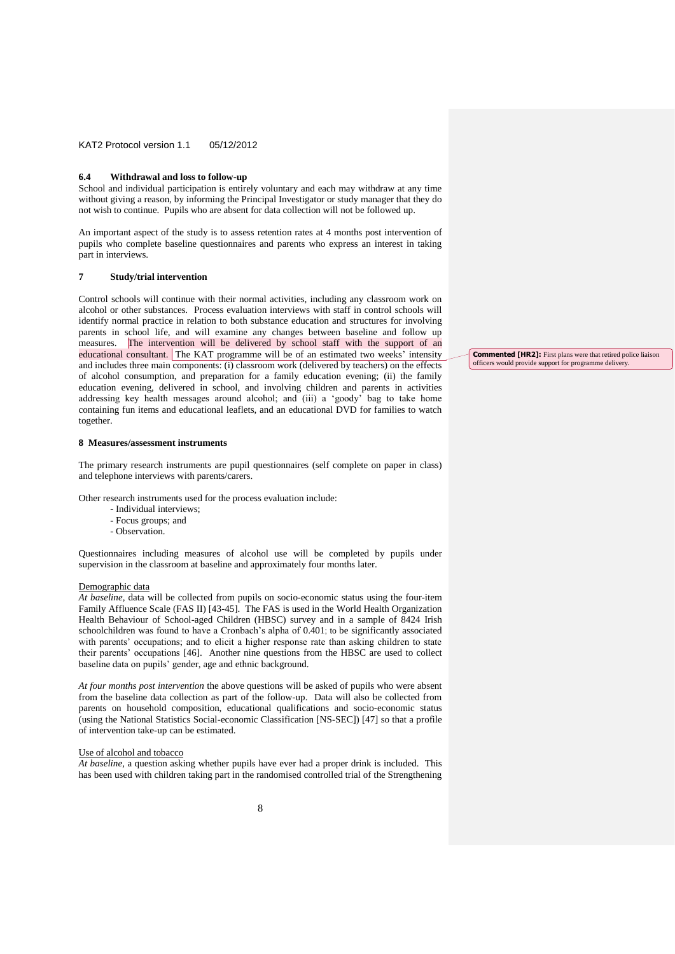### **6.4 Withdrawal and loss to follow-up**

School and individual participation is entirely voluntary and each may withdraw at any time without giving a reason, by informing the Principal Investigator or study manager that they do not wish to continue. Pupils who are absent for data collection will not be followed up.

An important aspect of the study is to assess retention rates at 4 months post intervention of pupils who complete baseline questionnaires and parents who express an interest in taking part in interviews.

## **7 Study/trial intervention**

Control schools will continue with their normal activities, including any classroom work on alcohol or other substances. Process evaluation interviews with staff in control schools will identify normal practice in relation to both substance education and structures for involving parents in school life, and will examine any changes between baseline and follow up measures. The intervention will be delivered by school staff with the support of an educational consultant. The KAT programme will be of an estimated two weeks' intensity and includes three main components: (i) classroom work (delivered by teachers) on the effects of alcohol consumption, and preparation for a family education evening; (ii) the family education evening, delivered in school, and involving children and parents in activities addressing key health messages around alcohol; and (iii) a 'goody' bag to take home containing fun items and educational leaflets, and an educational DVD for families to watch together.

## **8 Measures/assessment instruments**

The primary research instruments are pupil questionnaires (self complete on paper in class) and telephone interviews with parents/carers.

Other research instruments used for the process evaluation include:

- Individual interviews;
- Focus groups; and
- Observation.

Questionnaires including measures of alcohol use will be completed by pupils under supervision in the classroom at baseline and approximately four months later.

#### Demographic data

*At baseline,* data will be collected from pupils on socio-economic status using the four-item Family Affluence Scale (FAS II) [43-45]. The FAS is used in the World Health Organization Health Behaviour of School-aged Children (HBSC) survey and in a sample of 8424 Irish schoolchildren was found to have a Cronbach's alpha of 0.401; to be significantly associated with parents' occupations; and to elicit a higher response rate than asking children to state their parents' occupations [46]. Another nine questions from the [HBSC](file://///Socsipool1/socsi/SHARED/CISHE/KATFF/KAT2/HBSC.pdf) are used to collect baseline data on pupils' gender, age and ethnic background.

*At four months post intervention* the above questions will be asked of pupils who were absent from the baseline data collection as part of the follow-up. Data will also be collected from parents on household composition, educational qualifications and socio-economic status (using the National Statistics Social-economic Classification [NS-SEC]) [47] so that a profile of intervention take-up can be estimated.

#### Use of alcohol and tobacco

*At baseline,* a question asking whether pupils have ever had a proper drink is included. This has been used with children taking part in the randomised controlled trial of the Strengthening **Commented [HR2]:** First plans were that retired police liaison officers would provide support for programme delivery.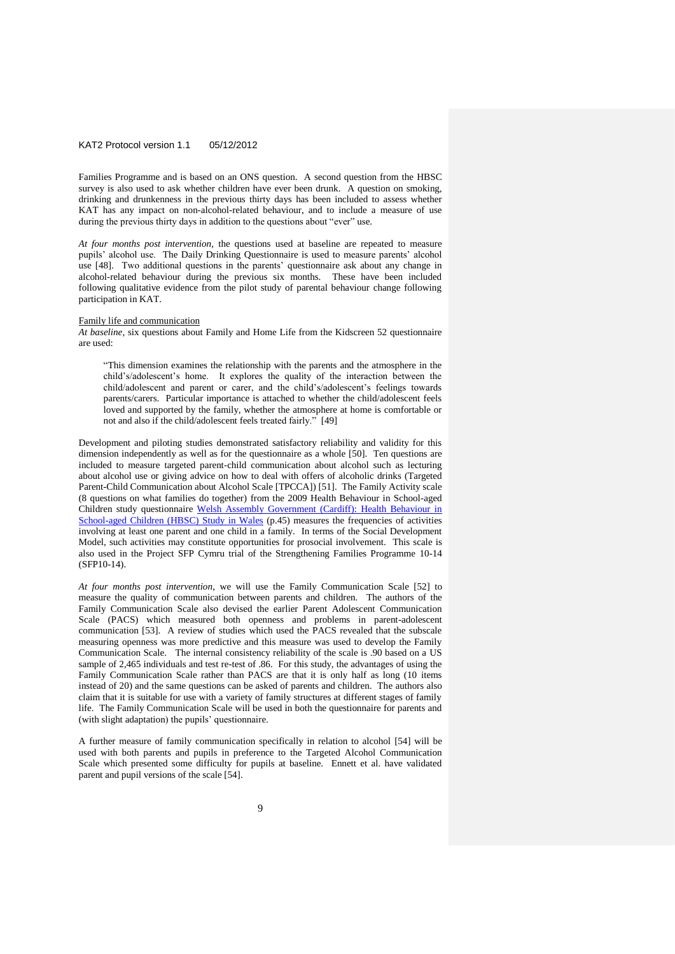Families Programme and is based on an ONS question. A second question from the HBSC survey is also used to ask whether children have ever been drunk. A question on smoking, drinking and drunkenness in the previous thirty days has been included to assess whether KAT has any impact on non-alcohol-related behaviour, and to include a measure of use during the previous thirty days in addition to the questions about "ever" use.

*At four months post intervention,* the questions used at baseline are repeated to measure pupils' alcohol use. The Daily Drinking Questionnaire is used to measure parents' alcohol use [48]. Two additional questions in the parents' questionnaire ask about any change in alcohol-related behaviour during the previous six months. These have been included following qualitative evidence from the pilot study of parental behaviour change following participation in KAT.

#### Family life and communication

*At baseline*, six questions about Family and Home Life from the Kidscreen 52 questionnaire are used:

"This dimension examines the relationship with the parents and the atmosphere in the child's/adolescent's home. It explores the quality of the interaction between the child/adolescent and parent or carer, and the child's/adolescent's feelings towards parents/carers. Particular importance is attached to whether the child/adolescent feels loved and supported by the family, whether the atmosphere at home is comfortable or not and also if the child/adolescent feels treated fairly." [49]

Development and piloting studies demonstrated satisfactory reliability and validity for this dimension independently as well as for the questionnaire as a whole [50]. Ten questions are included to measure targeted parent-child communication about alcohol such as lecturing about alcohol use or giving advice on how to deal with offers of alcoholic drinks (Targeted Parent-Child Communication about Alcohol Scale [TPCCA]) [51]. The Family Activity scale (8 questions on what families do together) from the 2009 Health Behaviour in School-aged Children study questionnaire Welsh [Assembly Government \(Cardiff\): Health Behaviour in](file://///Socsipool1/socsi/SHARED/CISHE/Project%20SFP%20Cymru/Questionnaire%20development/Questionnaire%20scales/2009%20HBSC%20Y11%20v1%20english.doc)  [School-aged Children \(HBSC\) Study in Wales](file://///Socsipool1/socsi/SHARED/CISHE/Project%20SFP%20Cymru/Questionnaire%20development/Questionnaire%20scales/2009%20HBSC%20Y11%20v1%20english.doc) (p.45) measures the frequencies of activities involving at least one parent and one child in a family. In terms of the Social Development Model, such activities may constitute opportunities for prosocial involvement. This scale is also used in the Project SFP Cymru trial of the Strengthening Families Programme 10-14 (SFP10-14).

*At four months post intervention*, we will use the Family Communication Scale [52] to measure the quality of communication between parents and children. The authors of the Family Communication Scale also devised the earlier Parent Adolescent Communication Scale (PACS) which measured both openness and problems in parent-adolescent communication [53]. A review of studies which used the PACS revealed that the subscale measuring openness was more predictive and this measure was used to develop the Family Communication Scale. The internal consistency reliability of the scale is .90 based on a US sample of 2,465 individuals and test re-test of .86. For this study, the advantages of using the Family Communication Scale rather than PACS are that it is only half as long (10 items instead of 20) and the same questions can be asked of parents and children. The authors also claim that it is suitable for use with a variety of family structures at different stages of family life. The Family Communication Scale will be used in both the questionnaire for parents and (with slight adaptation) the pupils' questionnaire.

A further measure of family communication specifically in relation to alcohol [54] will be used with both parents and pupils in preference to the Targeted Alcohol Communication Scale which presented some difficulty for pupils at baseline. Ennett et al. have validated parent and pupil versions of the scale [54].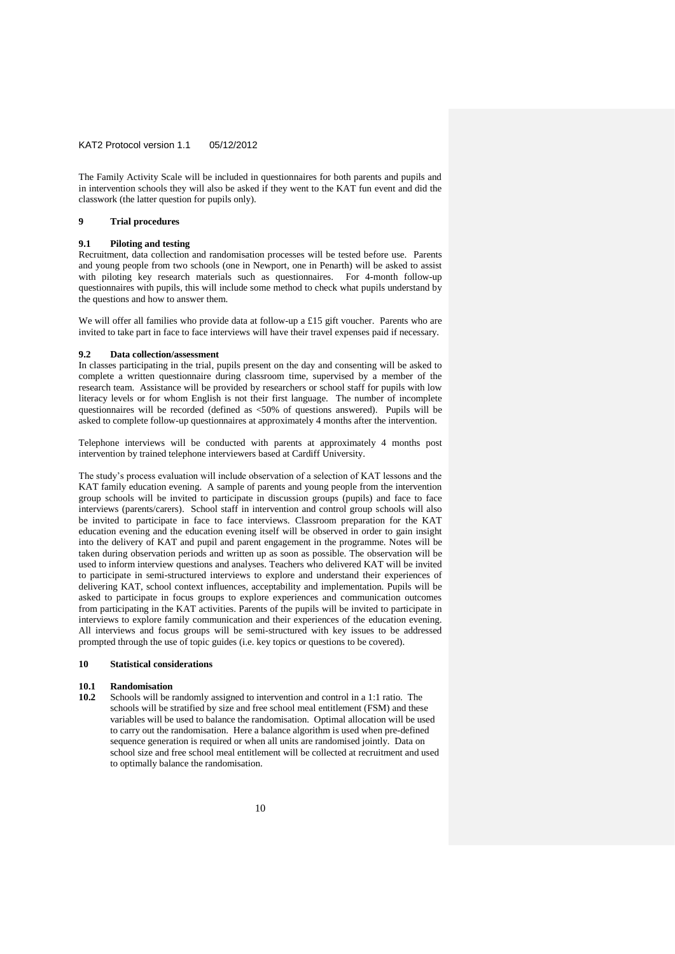The Family Activity Scale will be included in questionnaires for both parents and pupils and in intervention schools they will also be asked if they went to the KAT fun event and did the classwork (the latter question for pupils only).

## **9 Trial procedures**

## **9.1 Piloting and testing**

Recruitment, data collection and randomisation processes will be tested before use. Parents and young people from two schools (one in Newport, one in Penarth) will be asked to assist with piloting key research materials such as questionnaires. For 4-month follow-up questionnaires with pupils, this will include some method to check what pupils understand by the questions and how to answer them.

We will offer all families who provide data at follow-up a £15 gift voucher. Parents who are invited to take part in face to face interviews will have their travel expenses paid if necessary.

## **9.2 Data collection/assessment**

In classes participating in the trial, pupils present on the day and consenting will be asked to complete a written questionnaire during classroom time, supervised by a member of the research team. Assistance will be provided by researchers or school staff for pupils with low literacy levels or for whom English is not their first language. The number of incomplete questionnaires will be recorded (defined as <50% of questions answered). Pupils will be asked to complete follow-up questionnaires at approximately 4 months after the intervention.

Telephone interviews will be conducted with parents at approximately 4 months post intervention by trained telephone interviewers based at Cardiff University.

The study's process evaluation will include observation of a selection of KAT lessons and the KAT family education evening. A sample of parents and young people from the intervention group schools will be invited to participate in discussion groups (pupils) and face to face interviews (parents/carers). School staff in intervention and control group schools will also be invited to participate in face to face interviews. Classroom preparation for the KAT education evening and the education evening itself will be observed in order to gain insight into the delivery of KAT and pupil and parent engagement in the programme. Notes will be taken during observation periods and written up as soon as possible. The observation will be used to inform interview questions and analyses. Teachers who delivered KAT will be invited to participate in semi-structured interviews to explore and understand their experiences of delivering KAT, school context influences, acceptability and implementation. Pupils will be asked to participate in focus groups to explore experiences and communication outcomes from participating in the KAT activities. Parents of the pupils will be invited to participate in interviews to explore family communication and their experiences of the education evening. All interviews and focus groups will be semi-structured with key issues to be addressed prompted through the use of topic guides (i.e. key topics or questions to be covered).

## **10 Statistical considerations**

## **10.1 Randomisation**

**10.2** Schools will be randomly assigned to intervention and control in a 1:1 ratio. The schools will be stratified by size and free school meal entitlement (FSM) and these variables will be used to balance the randomisation. Optimal allocation will be used to carry out the randomisation. Here a balance algorithm is used when pre-defined sequence generation is required or when all units are randomised jointly. Data on school size and free school meal entitlement will be collected at recruitment and used to optimally balance the randomisation.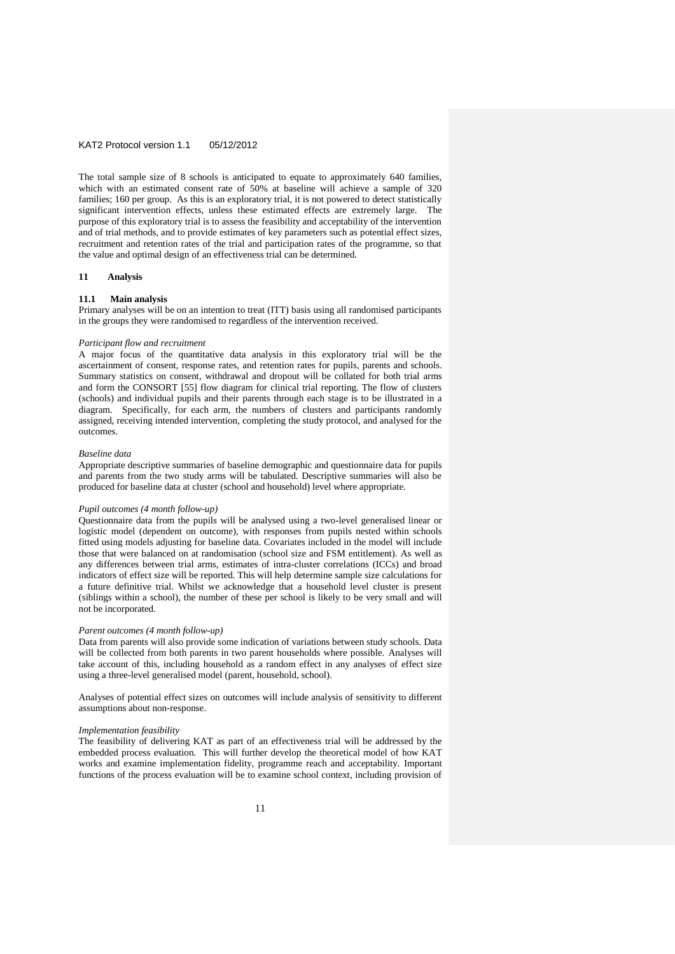The total sample size of 8 schools is anticipated to equate to approximately 640 families, which with an estimated consent rate of 50% at baseline will achieve a sample of 320 families; 160 per group. As this is an exploratory trial, it is not powered to detect statistically significant intervention effects, unless these estimated effects are extremely large. The purpose of this exploratory trial is to assess the feasibility and acceptability of the intervention and of trial methods, and to provide estimates of key parameters such as potential effect sizes, recruitment and retention rates of the trial and participation rates of the programme, so that the value and optimal design of an effectiveness trial can be determined.

## **11 Analysis**

#### **11.1 Main analysis**

Primary analyses will be on an intention to treat (ITT) basis using all randomised participants in the groups they were randomised to regardless of the intervention received.

#### *Participant flow and recruitment*

A major focus of the quantitative data analysis in this exploratory trial will be the ascertainment of consent, response rates, and retention rates for pupils, parents and schools. Summary statistics on consent, withdrawal and dropout will be collated for both trial arms and form the CONSORT [55] flow diagram for clinical trial reporting. The flow of clusters (schools) and individual pupils and their parents through each stage is to be illustrated in a diagram. Specifically, for each arm, the numbers of clusters and participants randomly assigned, receiving intended intervention, completing the study protocol, and analysed for the outcomes.

#### *Baseline data*

Appropriate descriptive summaries of baseline demographic and questionnaire data for pupils and parents from the two study arms will be tabulated. Descriptive summaries will also be produced for baseline data at cluster (school and household) level where appropriate.

#### *Pupil outcomes (4 month follow-up)*

Questionnaire data from the pupils will be analysed using a two-level generalised linear or logistic model (dependent on outcome), with responses from pupils nested within schools fitted using models adjusting for baseline data. Covariates included in the model will include those that were balanced on at randomisation (school size and FSM entitlement). As well as any differences between trial arms, estimates of intra-cluster correlations (ICCs) and broad indicators of effect size will be reported. This will help determine sample size calculations for a future definitive trial. Whilst we acknowledge that a household level cluster is present (siblings within a school), the number of these per school is likely to be very small and will not be incorporated.

## *Parent outcomes (4 month follow-up)*

Data from parents will also provide some indication of variations between study schools. Data will be collected from both parents in two parent households where possible. Analyses will take account of this, including household as a random effect in any analyses of effect size using a three-level generalised model (parent, household, school).

Analyses of potential effect sizes on outcomes will include analysis of sensitivity to different assumptions about non-response.

#### *Implementation feasibility*

The feasibility of delivering KAT as part of an effectiveness trial will be addressed by the embedded process evaluation. This will further develop the theoretical model of how KAT works and examine implementation fidelity, programme reach and acceptability. Important functions of the process evaluation will be to examine school context, including provision of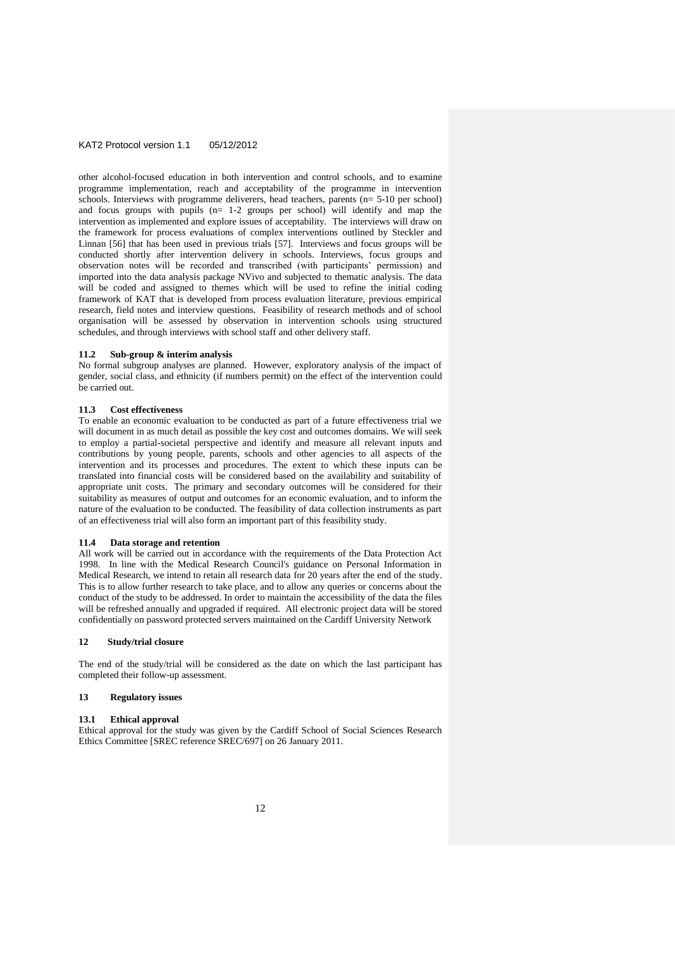other alcohol-focused education in both intervention and control schools, and to examine programme implementation, reach and acceptability of the programme in intervention schools. Interviews with programme deliverers, head teachers, parents (n= 5-10 per school) and focus groups with pupils (n= 1-2 groups per school) will identify and map the intervention as implemented and explore issues of acceptability. The interviews will draw on the framework for process evaluations of complex interventions outlined by Steckler and Linnan [56] that has been used in previous trials [57]. Interviews and focus groups will be conducted shortly after intervention delivery in schools. Interviews, focus groups and observation notes will be recorded and transcribed (with participants' permission) and imported into the data analysis package NVivo and subjected to thematic analysis. The data will be coded and assigned to themes which will be used to refine the initial coding framework of KAT that is developed from process evaluation literature, previous empirical research, field notes and interview questions. Feasibility of research methods and of school organisation will be assessed by observation in intervention schools using structured schedules, and through interviews with school staff and other delivery staff.

#### **11.2 Sub-group & interim analysis**

No formal subgroup analyses are planned. However, exploratory analysis of the impact of gender, social class, and ethnicity (if numbers permit) on the effect of the intervention could be carried out.

#### **11.3 Cost effectiveness**

To enable an economic evaluation to be conducted as part of a future effectiveness trial we will document in as much detail as possible the key cost and outcomes domains. We will seek to employ a partial-societal perspective and identify and measure all relevant inputs and contributions by young people, parents, schools and other agencies to all aspects of the intervention and its processes and procedures. The extent to which these inputs can be translated into financial costs will be considered based on the availability and suitability of appropriate unit costs. The primary and secondary outcomes will be considered for their suitability as measures of output and outcomes for an economic evaluation, and to inform the nature of the evaluation to be conducted. The feasibility of data collection instruments as part of an effectiveness trial will also form an important part of this feasibility study.

#### **11.4 Data storage and retention**

All work will be carried out in accordance with the requirements of the Data Protection Act 1998. In line with the Medical Research Council's guidance on Personal Information in Medical Research, we intend to retain all research data for 20 years after the end of the study. This is to allow further research to take place, and to allow any queries or concerns about the conduct of the study to be addressed. In order to maintain the accessibility of the data the files will be refreshed annually and upgraded if required. All electronic project data will be stored confidentially on password protected servers maintained on the Cardiff University Network

## **12 Study/trial closure**

The end of the study/trial will be considered as the date on which the last participant has completed their follow-up assessment.

#### **13 Regulatory issues**

## **13.1 Ethical approval**

Ethical approval for the study was given by the Cardiff School of Social Sciences Research Ethics Committee [SREC reference SREC/697] on 26 January 2011.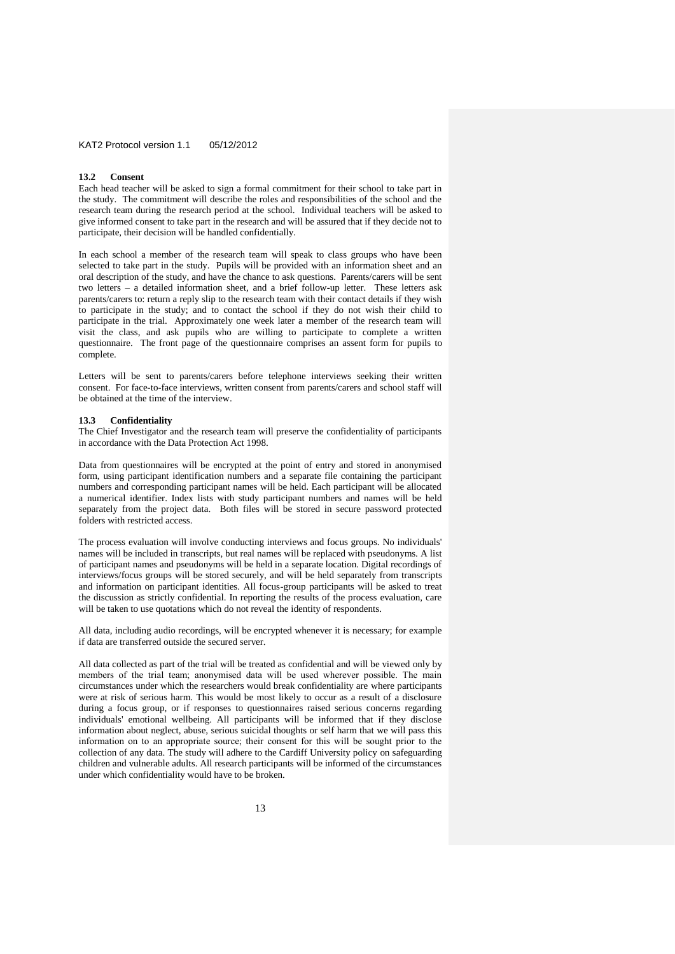#### **13.2 Consent**

Each head teacher will be asked to sign a formal commitment for their school to take part in the study. The commitment will describe the roles and responsibilities of the school and the research team during the research period at the school. Individual teachers will be asked to give informed consent to take part in the research and will be assured that if they decide not to participate, their decision will be handled confidentially.

In each school a member of the research team will speak to class groups who have been selected to take part in the study. Pupils will be provided with an information sheet and an oral description of the study, and have the chance to ask questions. Parents/carers will be sent two letters – a detailed information sheet, and a brief follow-up letter. These letters ask parents/carers to: return a reply slip to the research team with their contact details if they wish to participate in the study; and to contact the school if they do not wish their child to participate in the trial. Approximately one week later a member of the research team will visit the class, and ask pupils who are willing to participate to complete a written questionnaire. The front page of the questionnaire comprises an assent form for pupils to complete.

Letters will be sent to parents/carers before telephone interviews seeking their written consent. For face-to-face interviews, written consent from parents/carers and school staff will be obtained at the time of the interview.

#### **13.3 Confidentiality**

The Chief Investigator and the research team will preserve the confidentiality of participants in accordance with the Data Protection Act 1998.

Data from questionnaires will be encrypted at the point of entry and stored in anonymised form, using participant identification numbers and a separate file containing the participant numbers and corresponding participant names will be held. Each participant will be allocated a numerical identifier. Index lists with study participant numbers and names will be held separately from the project data. Both files will be stored in secure password protected folders with restricted access.

The process evaluation will involve conducting interviews and focus groups. No individuals' names will be included in transcripts, but real names will be replaced with pseudonyms. A list of participant names and pseudonyms will be held in a separate location. Digital recordings of interviews/focus groups will be stored securely, and will be held separately from transcripts and information on participant identities. All focus-group participants will be asked to treat the discussion as strictly confidential. In reporting the results of the process evaluation, care will be taken to use quotations which do not reveal the identity of respondents.

All data, including audio recordings, will be encrypted whenever it is necessary; for example if data are transferred outside the secured server.

All data collected as part of the trial will be treated as confidential and will be viewed only by members of the trial team; anonymised data will be used wherever possible. The main circumstances under which the researchers would break confidentiality are where participants were at risk of serious harm. This would be most likely to occur as a result of a disclosure during a focus group, or if responses to questionnaires raised serious concerns regarding individuals' emotional wellbeing. All participants will be informed that if they disclose information about neglect, abuse, serious suicidal thoughts or self harm that we will pass this information on to an appropriate source; their consent for this will be sought prior to the collection of any data. The study will adhere to the Cardiff University policy on safeguarding children and vulnerable adults. All research participants will be informed of the circumstances under which confidentiality would have to be broken.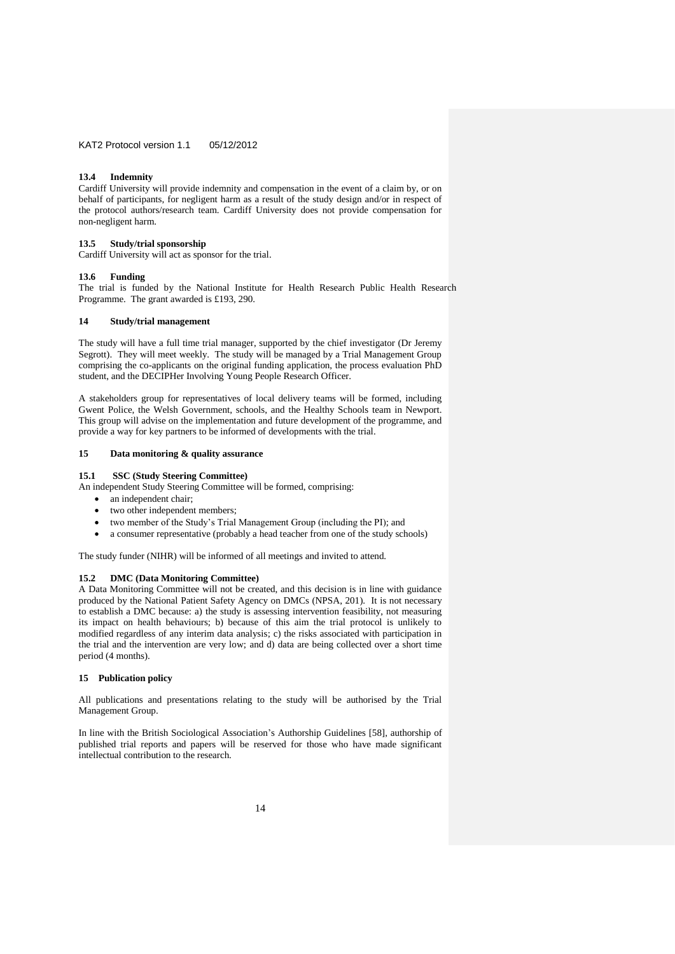### **13.4 Indemnity**

Cardiff University will provide indemnity and compensation in the event of a claim by, or on behalf of participants, for negligent harm as a result of the study design and/or in respect of the protocol authors/research team. Cardiff University does not provide compensation for non-negligent harm.

#### **13.5 Study/trial sponsorship**

Cardiff University will act as sponsor for the trial.

## **13.6 Funding**

The trial is funded by the National Institute for Health Research Public Health Research Programme. The grant awarded is £193, 290.

#### **14 Study/trial management**

The study will have a full time trial manager, supported by the chief investigator (Dr Jeremy Segrott). They will meet weekly. The study will be managed by a Trial Management Group comprising the co-applicants on the original funding application, the process evaluation PhD student, and the DECIPHer Involving Young People Research Officer.

A stakeholders group for representatives of local delivery teams will be formed, including Gwent Police, the Welsh Government, schools, and the Healthy Schools team in Newport. This group will advise on the implementation and future development of the programme, and provide a way for key partners to be informed of developments with the trial.

## **15 Data monitoring & quality assurance**

**15.1 SSC (Study Steering Committee)**

An independent Study Steering Committee will be formed, comprising:

- an independent chair;
- two other independent members;
- two member of the Study's Trial Management Group (including the PI); and
- a consumer representative (probably a head teacher from one of the study schools)

The study funder (NIHR) will be informed of all meetings and invited to attend.

## **15.2 DMC (Data Monitoring Committee)**

A Data Monitoring Committee will not be created, and this decision is in line with guidance produced by the National Patient Safety Agency on DMCs (NPSA, 201). It is not necessary to establish a DMC because: a) the study is assessing intervention feasibility, not measuring its impact on health behaviours; b) because of this aim the trial protocol is unlikely to modified regardless of any interim data analysis; c) the risks associated with participation in the trial and the intervention are very low; and d) data are being collected over a short time period (4 months).

## **15 Publication policy**

All publications and presentations relating to the study will be authorised by the Trial Management Group.

In line with the British Sociological Association's Authorship Guidelines [58], authorship of published trial reports and papers will be reserved for those who have made significant intellectual contribution to the research.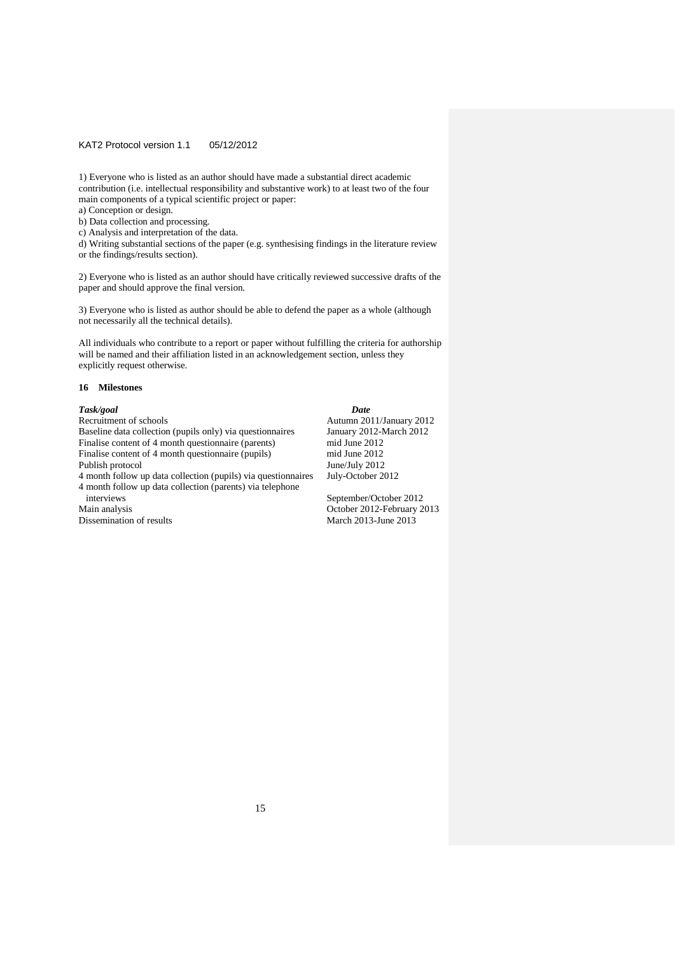1) Everyone who is listed as an author should have made a substantial direct academic contribution (i.e. intellectual responsibility and substantive work) to at least two of the four main components of a typical scientific project or paper:

a) Conception or design.

b) Data collection and processing.

c) Analysis and interpretation of the data.

d) Writing substantial sections of the paper (e.g. synthesising findings in the literature review or the findings/results section).

2) Everyone who is listed as an author should have critically reviewed successive drafts of the paper and should approve the final version.

3) Everyone who is listed as author should be able to defend the paper as a whole (although not necessarily all the technical details).

All individuals who contribute to a report or paper without fulfilling the criteria for authorship will be named and their affiliation listed in an acknowledgement section, unless they explicitly request otherwise.

#### **16 Milestones**

*Task/goal Date* Baseline data collection (pupils only) via questionnaires January 2012-N<br>Finalise content of 4 month questionnaire (parents) mid June 2012 Finalise content of 4 month questionnaire (parents) mid June 2012<br>Finalise content of 4 month questionnaire (pupils) mid June 2012 Finalise content of 4 month questionnaire (pupils) mid June 2012<br>Publish protocol June 2012 Publish protocol<br>4 month follow up data collection (pupils) via questionnaires July-October 2012 4 month follow up data collection (pupils) via questionnaires 4 month follow up data collection (parents) via telephone interviews September/October 2012<br>Main analysis Coroler 2012-February 2 Dissemination of results

Autumn 2011/January 2012<br>January 2012-March 2012

October 2012-February 2013<br>March 2013-June 2013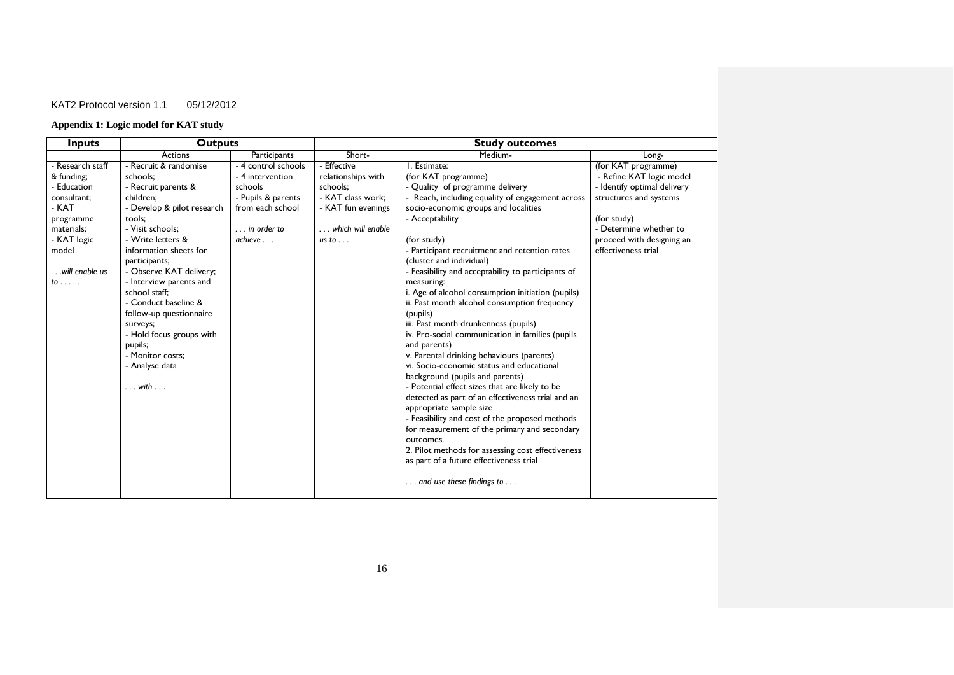# **Appendix 1: Logic model for KAT study**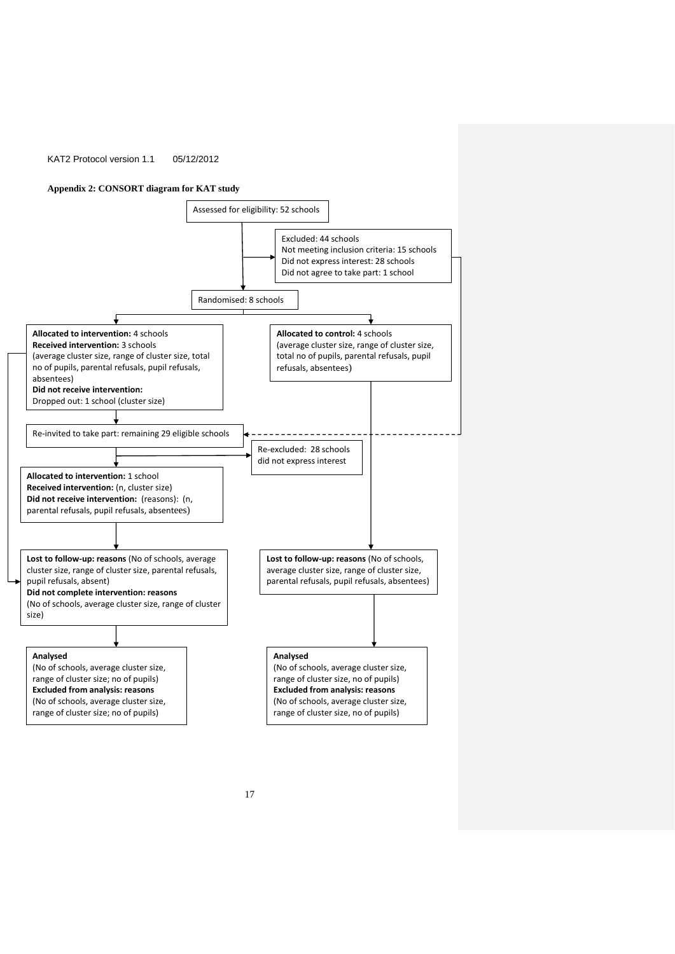## **Appendix 2: CONSORT diagram for KAT study**

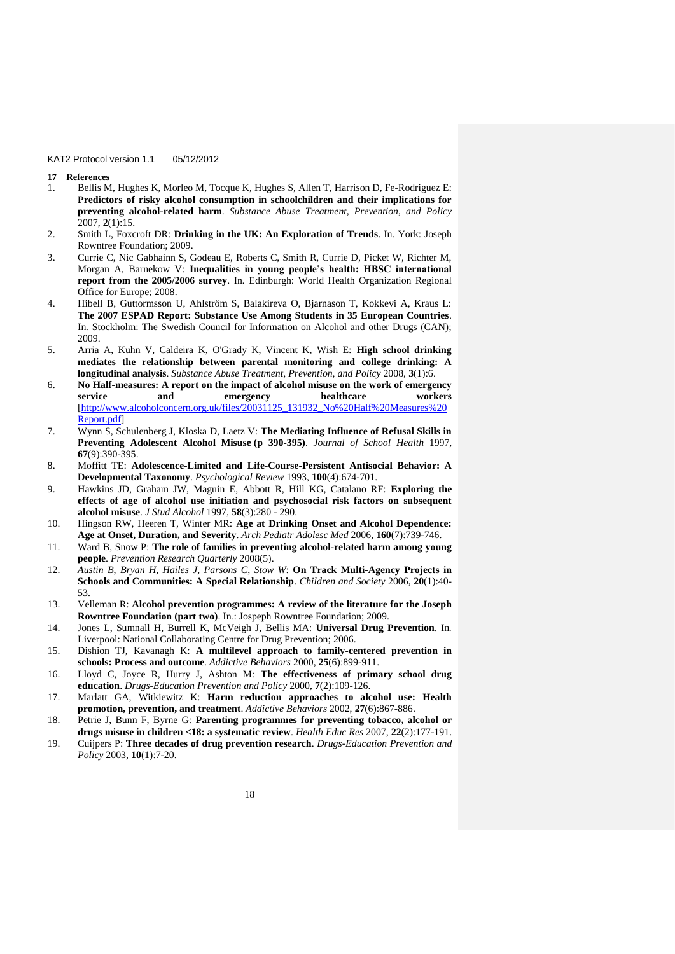- **17 References**
- 1. Bellis M, Hughes K, Morleo M, Tocque K, Hughes S, Allen T, Harrison D, Fe-Rodriguez E: **Predictors of risky alcohol consumption in schoolchildren and their implications for preventing alcohol-related harm**. *Substance Abuse Treatment, Prevention, and Policy*  2007, **2**(1):15.
- 2. Smith L, Foxcroft DR: **Drinking in the UK: An Exploration of Trends**. In*.* York: Joseph Rowntree Foundation; 2009.
- 3. Currie C, Nic Gabhainn S, Godeau E, Roberts C, Smith R, Currie D, Picket W, Richter M, Morgan A, Barnekow V: **Inequalities in young people's health: HBSC international report from the 2005/2006 survey**. In*.* Edinburgh: World Health Organization Regional Office for Europe; 2008.
- 4. Hibell B, Guttormsson U, Ahlström S, Balakireva O, Bjarnason T, Kokkevi A, Kraus L: **The 2007 ESPAD Report: Substance Use Among Students in 35 European Countries**. In. Stockholm: The Swedish Council for Information on Alcohol and other Drugs (CAN); 2009.
- 5. Arria A, Kuhn V, Caldeira K, O'Grady K, Vincent K, Wish E: **High school drinking mediates the relationship between parental monitoring and college drinking: A longitudinal analysis**. *Substance Abuse Treatment, Prevention, and Policy* 2008, **3**(1):6.
- 6. **No Half-measures: A report on the impact of alcohol misuse on the work of emergency service and emergency healthcare workers**  [\[http://www.alcoholconcern.org.uk/files/20031125\\_131932\\_No%20Half%20Measures%20](http://www.alcoholconcern.org.uk/files/20031125_131932_No%20Half%20Measures%20Report.pdf) [Report.pdf\]](http://www.alcoholconcern.org.uk/files/20031125_131932_No%20Half%20Measures%20Report.pdf)
- 7. Wynn S, Schulenberg J, Kloska D, Laetz V: **The Mediating Influence of Refusal Skills in Preventing Adolescent Alcohol Misuse (p 390-395)**. *Journal of School Health* 1997, **67**(9):390-395.
- 8. Moffitt TE: **Adolescence-Limited and Life-Course-Persistent Antisocial Behavior: A Developmental Taxonomy**. *Psychological Review* 1993, **100**(4):674-701.
- 9. Hawkins JD, Graham JW, Maguin E, Abbott R, Hill KG, Catalano RF: **Exploring the effects of age of alcohol use initiation and psychosocial risk factors on subsequent alcohol misuse**. *J Stud Alcohol* 1997, **58**(3):280 - 290.
- 10. Hingson RW, Heeren T, Winter MR: **Age at Drinking Onset and Alcohol Dependence: Age at Onset, Duration, and Severity**. *Arch Pediatr Adolesc Med* 2006, **160**(7):739-746.
- 11. Ward B, Snow P: **The role of families in preventing alcohol-related harm among young people**. *Prevention Research Quarterly* 2008(5).
- 12. *Austin B*, *Bryan H*, *Hailes J*, *Parsons C*, *Stow W*: **On Track Multi-Agency Projects in Schools and Communities: A Special Relationship**. *Children and Society* 2006, **20**(1):40- 53.
- 13. Velleman R: **Alcohol prevention programmes: A review of the literature for the Joseph Rowntree Foundation (part two)**. In*.*: Jospeph Rowntree Foundation; 2009.
- 14. Jones L, Sumnall H, Burrell K, McVeigh J, Bellis MA: **Universal Drug Prevention**. In*.* Liverpool: National Collaborating Centre for Drug Prevention; 2006.
- 15. Dishion TJ, Kavanagh K: **A multilevel approach to family-centered prevention in schools: Process and outcome**. *Addictive Behaviors* 2000, **25**(6):899-911.
- 16. Lloyd C, Joyce R, Hurry J, Ashton M: **The effectiveness of primary school drug education**. *Drugs-Education Prevention and Policy* 2000, **7**(2):109-126.
- 17. Marlatt GA, Witkiewitz K: **Harm reduction approaches to alcohol use: Health promotion, prevention, and treatment**. *Addictive Behaviors* 2002, **27**(6):867-886.
- 18. Petrie J, Bunn F, Byrne G: **Parenting programmes for preventing tobacco, alcohol or drugs misuse in children <18: a systematic review**. *Health Educ Res* 2007, **22**(2):177-191.
- 19. Cuijpers P: **Three decades of drug prevention research**. *Drugs-Education Prevention and Policy* 2003, **10**(1):7-20.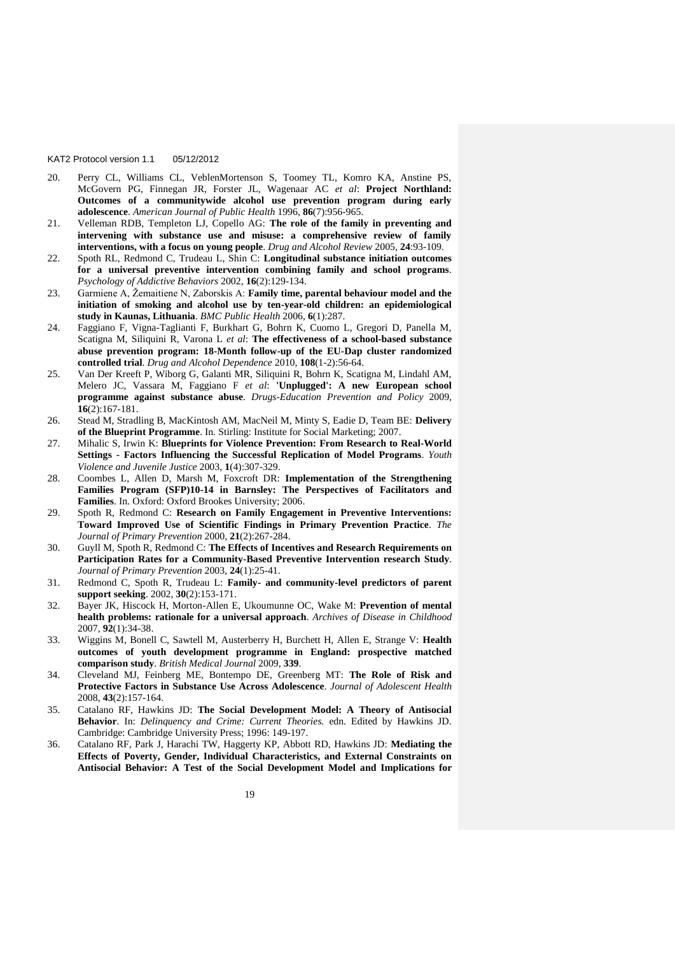- 20. Perry CL, Williams CL, VeblenMortenson S, Toomey TL, Komro KA, Anstine PS, McGovern PG, Finnegan JR, Forster JL, Wagenaar AC *et al*: **Project Northland: Outcomes of a communitywide alcohol use prevention program during early adolescence**. *American Journal of Public Health* 1996, **86**(7):956-965.
- 21. Velleman RDB, Templeton LJ, Copello AG: **The role of the family in preventing and intervening with substance use and misuse: a comprehensive review of family interventions, with a focus on young people**. *Drug and Alcohol Review* 2005, **24**:93-109.
- 22. Spoth RL, Redmond C, Trudeau L, Shin C: **Longitudinal substance initiation outcomes for a universal preventive intervention combining family and school programs**. *Psychology of Addictive Behaviors* 2002, **16**(2):129-134.
- 23. Garmiene A, Žemaitiene N, Zaborskis A: **Family time, parental behaviour model and the initiation of smoking and alcohol use by ten-year-old children: an epidemiological study in Kaunas, Lithuania**. *BMC Public Health* 2006, **6**(1):287.
- 24. Faggiano F, Vigna-Taglianti F, Burkhart G, Bohrn K, Cuomo L, Gregori D, Panella M, Scatigna M, Siliquini R, Varona L *et al*: **The effectiveness of a school-based substance abuse prevention program: 18-Month follow-up of the EU-Dap cluster randomized controlled trial**. *Drug and Alcohol Dependence* 2010, **108**(1-2):56-64.
- 25. Van Der Kreeft P, Wiborg G, Galanti MR, Siliquini R, Bohrn K, Scatigna M, Lindahl AM, Melero JC, Vassara M, Faggiano F *et al*: **'Unplugged': A new European school programme against substance abuse**. *Drugs-Education Prevention and Policy* 2009, **16**(2):167-181.
- 26. Stead M, Stradling B, MacKintosh AM, MacNeil M, Minty S, Eadie D, Team BE: **Delivery of the Blueprint Programme**. In*.* Stirling: Institute for Social Marketing; 2007.
- 27. Mihalic S, Irwin K: **Blueprints for Violence Prevention: From Research to Real-World Settings - Factors Influencing the Successful Replication of Model Programs**. *Youth Violence and Juvenile Justice* 2003, **1**(4):307-329.
- 28. Coombes L, Allen D, Marsh M, Foxcroft DR: **Implementation of the Strengthening Families Program (SFP)10-14 in Barnsley: The Perspectives of Facilitators and Families**. In*.* Oxford: Oxford Brookes University; 2006.
- 29. Spoth R, Redmond C: **Research on Family Engagement in Preventive Interventions: Toward Improved Use of Scientific Findings in Primary Prevention Practice**. *The Journal of Primary Prevention* 2000, **21**(2):267-284.
- 30. Guyll M, Spoth R, Redmond C: **The Effects of Incentives and Research Requirements on Participation Rates for a Community-Based Preventive Intervention research Study**. *Journal of Primary Prevention* 2003, **24**(1):25-41.
- 31. Redmond C, Spoth R, Trudeau L: **Family- and community-level predictors of parent support seeking**. 2002, **30**(2):153-171.
- 32. Bayer JK, Hiscock H, Morton-Allen E, Ukoumunne OC, Wake M: **Prevention of mental health problems: rationale for a universal approach**. *Archives of Disease in Childhood*  2007, **92**(1):34-38.
- 33. Wiggins M, Bonell C, Sawtell M, Austerberry H, Burchett H, Allen E, Strange V: **Health outcomes of youth development programme in England: prospective matched comparison study**. *British Medical Journal* 2009, **339**.
- 34. Cleveland MJ, Feinberg ME, Bontempo DE, Greenberg MT: **The Role of Risk and Protective Factors in Substance Use Across Adolescence**. *Journal of Adolescent Health*  2008, **43**(2):157-164.
- 35. Catalano RF, Hawkins JD: **The Social Development Model: A Theory of Antisocial Behavior**. In: *Delinquency and Crime: Current Theories.* edn. Edited by Hawkins JD. Cambridge: Cambridge University Press; 1996: 149-197.
- 36. Catalano RF, Park J, Harachi TW, Haggerty KP, Abbott RD, Hawkins JD: **Mediating the Effects of Poverty, Gender, Individual Characteristics, and External Constraints on Antisocial Behavior: A Test of the Social Development Model and Implications for**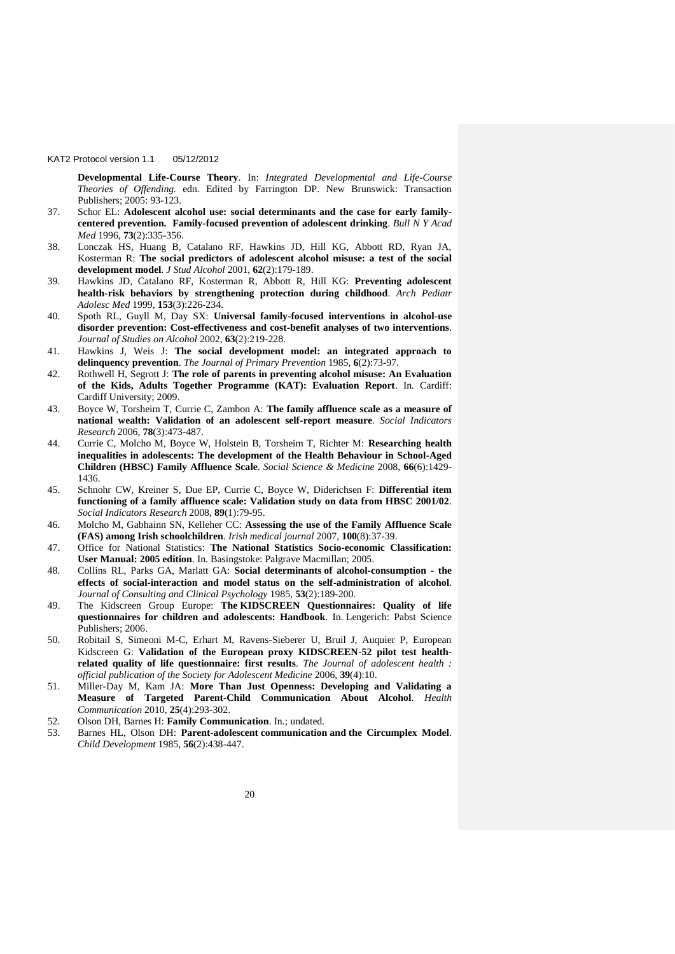**Developmental Life-Course Theory**. In: *Integrated Developmental and Life-Course Theories of Offending.* edn. Edited by Farrington DP. New Brunswick: Transaction Publishers; 2005: 93-123.

- 37. Schor EL: **Adolescent alcohol use: social determinants and the case for early familycentered prevention. Family-focused prevention of adolescent drinking**. *Bull N Y Acad Med* 1996, **73**(2):335-356.
- 38. Lonczak HS, Huang B, Catalano RF, Hawkins JD, Hill KG, Abbott RD, Ryan JA, Kosterman R: **The social predictors of adolescent alcohol misuse: a test of the social development model**. *J Stud Alcohol* 2001, **62**(2):179-189.
- 39. Hawkins JD, Catalano RF, Kosterman R, Abbott R, Hill KG: **Preventing adolescent health-risk behaviors by strengthening protection during childhood**. *Arch Pediatr Adolesc Med* 1999, **153**(3):226-234.
- 40. Spoth RL, Guyll M, Day SX: **Universal family-focused interventions in alcohol-use disorder prevention: Cost-effectiveness and cost-benefit analyses of two interventions**. *Journal of Studies on Alcohol* 2002, **63**(2):219-228.
- 41. Hawkins J, Weis J: **The social development model: an integrated approach to delinquency prevention**. *The Journal of Primary Prevention* 1985, **6**(2):73-97.
- 42. Rothwell H, Segrott J: **The role of parents in preventing alcohol misuse: An Evaluation of the Kids, Adults Together Programme (KAT): Evaluation Report**. In*.* Cardiff: Cardiff University; 2009.
- 43. Boyce W, Torsheim T, Currie C, Zambon A: **The family affluence scale as a measure of national wealth: Validation of an adolescent self-report measure**. *Social Indicators Research* 2006, **78**(3):473-487.
- 44. Currie C, Molcho M, Boyce W, Holstein B, Torsheim T, Richter M: **Researching health inequalities in adolescents: The development of the Health Behaviour in School-Aged Children (HBSC) Family Affluence Scale**. *Social Science & Medicine* 2008, **66**(6):1429- 1436.
- 45. Schnohr CW, Kreiner S, Due EP, Currie C, Boyce W, Diderichsen F: **Differential item functioning of a family affluence scale: Validation study on data from HBSC 2001/02**. *Social Indicators Research* 2008, **89**(1):79-95.
- 46. Molcho M, Gabhainn SN, Kelleher CC: **Assessing the use of the Family Affluence Scale (FAS) among Irish schoolchildren**. *Irish medical journal* 2007, **100**(8):37-39.
- 47. Office for National Statistics: **The National Statistics Socio-economic Classification: User Manual: 2005 edition**. In*.* Basingstoke: Palgrave Macmillan; 2005.
- 48. Collins RL, Parks GA, Marlatt GA: **Social determinants of alcohol-consumption - the effects of social-interaction and model status on the self-administration of alcohol**. *Journal of Consulting and Clinical Psychology* 1985, **53**(2):189-200.
- 49. The Kidscreen Group Europe: **The KIDSCREEN Questionnaires: Quality of life questionnaires for children and adolescents: Handbook**. In*.* Lengerich: Pabst Science Publishers; 2006.
- 50. Robitail S, Simeoni M-C, Erhart M, Ravens-Sieberer U, Bruil J, Auquier P, European Kidscreen G: Validation of the European proxy KIDSCREEN-52 pilot test health**related quality of life questionnaire: first results**. *The Journal of adolescent health : official publication of the Society for Adolescent Medicine* 2006, **39**(4):10.
- 51. Miller-Day M, Kam JA: **More Than Just Openness: Developing and Validating a Measure of Targeted Parent-Child Communication About Alcohol**. *Health Communication* 2010, **25**(4):293-302.
- 52. Olson DH, Barnes H: **Family Communication**. In*.*; undated.
- 53. Barnes HL, Olson DH: **Parent-adolescent communication and the Circumplex Model**. *Child Development* 1985, **56**(2):438-447.